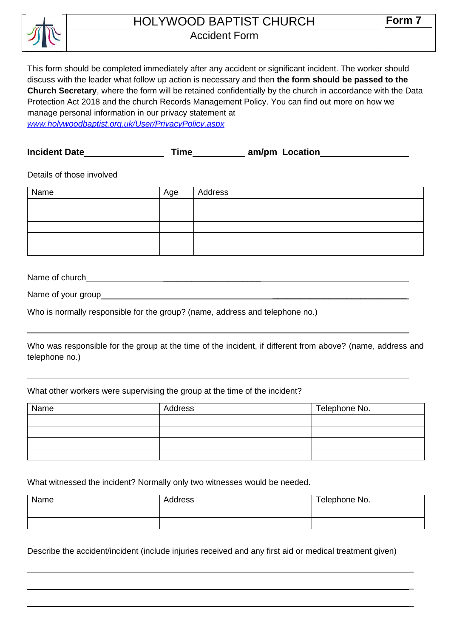

# HOLYWOOD BAPTIST CHURCH

## Accident Form

This form should be completed immediately after any accident or significant incident. The worker should discuss with the leader what follow up action is necessary and then **the form should be passed to the Church Secretary**, where the form will be retained confidentially by the church in accordance with the Data Protection Act 2018 and the church Records Management Policy. You can find out more on how we manage personal information in our privacy statement at *[www.holywoodbaptist.org.uk/User/PrivacyPolicy.aspx](http://www.holywoodbaptist.org.uk/User/PrivacyPolicy.aspx)*

**Incident Date am/pm Location am/pm Location** 

### Details of those involved

| Name | ∣ Age | Address |
|------|-------|---------|
|      |       |         |
|      |       |         |
|      |       |         |
|      |       |         |
|      |       |         |

Name of church **with the contract of church**  $\sim$ 

Name of your group \_\_\_\_\_\_\_\_\_\_\_\_\_\_\_\_\_\_\_\_\_\_\_\_\_\_\_\_\_

Who is normally responsible for the group? (name, address and telephone no.)

Who was responsible for the group at the time of the incident, if different from above? (name, address and telephone no.)

 $\overline{a}$ 

 $\overline{a}$ 

\_

\_

#### What other workers were supervising the group at the time of the incident?

| Name | Address | Telephone No. |
|------|---------|---------------|
|      |         |               |
|      |         |               |
|      |         |               |
|      |         |               |

#### What witnessed the incident? Normally only two witnesses would be needed.

| Name | Address | Telephone No. |
|------|---------|---------------|
|      |         |               |
|      |         |               |

Describe the accident/incident (include injuries received and any first aid or medical treatment given)

 $\_$  , and the set of the set of the set of the set of the set of the set of the set of the set of the set of the set of the set of the set of the set of the set of the set of the set of the set of the set of the set of th